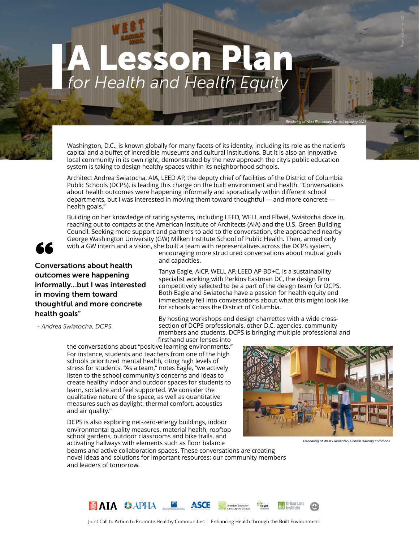# *for Health and Health Equity* A Lesson Plan

Washington, D.C., is known globally for many facets of its identity, including its role as the nation's capital and a buffet of incredible museums and cultural institutions. But it is also an innovative local community in its own right, demonstrated by the new approach the city's public education system is taking to design healthy spaces within its neighborhood schools.

Architect Andrea Swiatocha, AIA, LEED AP, the deputy chief of facilities of the District of Columbia Public Schools (DCPS), is leading this charge on the built environment and health. "Conversations about health outcomes were happening informally and sporadically within different school departments, but I was interested in moving them toward thoughtful — and more concrete health goals."

Building on her knowledge of rating systems, including LEED, WELL and Fitwel, Swiatocha dove in, reaching out to contacts at the American Institute of Architects (AIA) and the U.S. Green Building Council. Seeking more support and partners to add to the conversation, she approached nearby George Washington University (GW) Milken Institute School of Public Health. Then, armed only with a GW intern and a vision, she built a team with representatives across the DCPS system,



Solution and a series with a GW intern and a conversations about health outcomes were happening informally…but I was interested in moving them toward thoughtful and more concrete health goals"

*- Andrea Swiatocha, DCPS*

encouraging more structured conversations about mutual goals and capacities.

Tanya Eagle, AICP, WELL AP, LEED AP BD+C, is a sustainability specialist working with Perkins Eastman DC, the design firm competitively selected to be a part of the design team for DCPS. Both Eagle and Swiatocha have a passion for health equity and immediately fell into conversations about what this might look like for schools across the District of Columbia.

By hosting workshops and design charrettes with a wide crosssection of DCPS professionals, other D.C. agencies, community members and students, DCPS is bringing multiple professional and firsthand user lenses into

the conversations about "positive learning environments." For instance, students and teachers from one of the high schools prioritized mental health, citing high levels of stress for students. "As a team," notes Eagle, "we actively listen to the school community's concerns and ideas to create healthy indoor and outdoor spaces for students to learn, socialize and feel supported. We consider the qualitative nature of the space, as well as quantitative measures such as daylight, thermal comfort, acoustics and air quality."

DCPS is also exploring net-zero-energy buildings, indoor environmental quality measures, material health, rooftop school gardens, outdoor classrooms and bike trails, and activating hallways with elements such as floor balance



*Rendering of West Elementary School, opening 2021*

*Perkins Eastman DC*

*Rendering of West Elementary School learning commons*

beams and active collaboration spaces. These conversations are creating novel ideas and solutions for important resources: our community members and leaders of tomorrow.